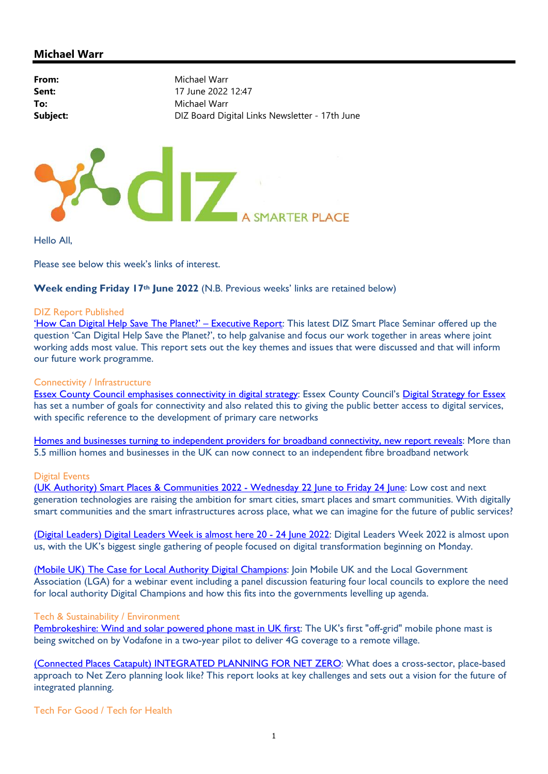# Michael Warr

| From:    | Michael Warr                                   |
|----------|------------------------------------------------|
| Sent:    | 17 June 2022 12:47                             |
| To:      | Michael Warr                                   |
| Subject: | DIZ Board Digital Links Newsletter - 17th June |
|          |                                                |
|          |                                                |



Hello All,

Please see below this week's links of interest.

Week ending Friday 17<sup>th</sup> June 2022 (N.B. Previous weeks' links are retained below)

#### DIZ Report Published

'How Can Digital Help Save The Planet?' – Executive Report: This latest DIZ Smart Place Seminar offered up the question 'Can Digital Help Save the Planet?', to help galvanise and focus our work together in areas where joint working adds most value. This report sets out the key themes and issues that were discussed and that will inform our future work programme.

### Connectivity / Infrastructure

Essex County Council emphasises connectivity in digital strategy: Essex County Council's Digital Strategy for Essex has set a number of goals for connectivity and also related this to giving the public better access to digital services, with specific reference to the development of primary care networks

Homes and businesses turning to independent providers for broadband connectivity, new report reveals: More than 5.5 million homes and businesses in the UK can now connect to an independent fibre broadband network

#### Digital Events

(UK Authority) Smart Places & Communities 2022 - Wednesday 22 June to Friday 24 June: Low cost and next generation technologies are raising the ambition for smart cities, smart places and smart communities. With digitally smart communities and the smart infrastructures across place, what we can imagine for the future of public services?

(Digital Leaders) Digital Leaders Week is almost here 20 - 24 June 2022: Digital Leaders Week 2022 is almost upon us, with the UK's biggest single gathering of people focused on digital transformation beginning on Monday.

(Mobile UK) The Case for Local Authority Digital Champions: Join Mobile UK and the Local Government Association (LGA) for a webinar event including a panel discussion featuring four local councils to explore the need for local authority Digital Champions and how this fits into the governments levelling up agenda.

#### Tech & Sustainability / Environment

Pembrokeshire: Wind and solar powered phone mast in UK first: The UK's first "off-grid" mobile phone mast is being switched on by Vodafone in a two-year pilot to deliver 4G coverage to a remote village.

(Connected Places Catapult) INTEGRATED PLANNING FOR NET ZERO: What does a cross-sector, place-based approach to Net Zero planning look like? This report looks at key challenges and sets out a vision for the future of integrated planning.

Tech For Good / Tech for Health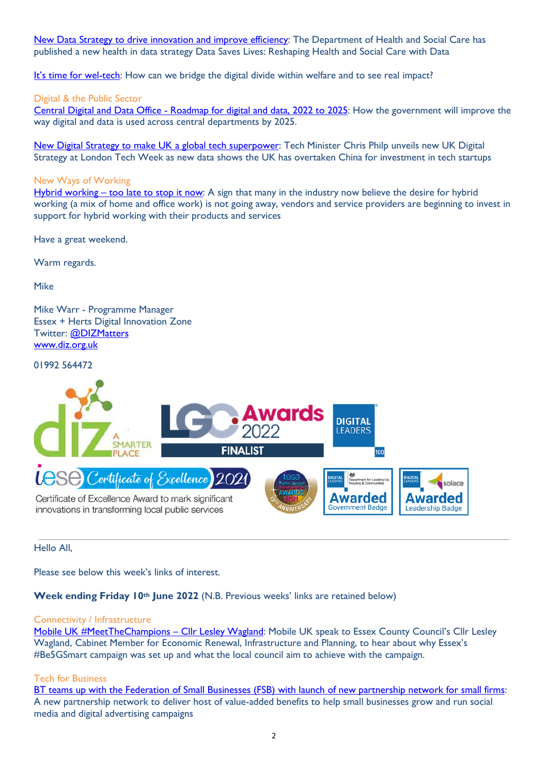New Data Strategy to drive innovation and improve efficiency: The Department of Health and Social Care has published a new health in data strategy Data Saves Lives: Reshaping Health and Social Care with Data

It's time for wel-tech: How can we bridge the digital divide within welfare and to see real impact?

### Digital & the Public Sector

Central Digital and Data Office - Roadmap for digital and data, 2022 to 2025: How the government will improve the way digital and data is used across central departments by 2025.

New Digital Strategy to make UK a global tech superpower: Tech Minister Chris Philp unveils new UK Digital Strategy at London Tech Week as new data shows the UK has overtaken China for investment in tech startups

### New Ways of Working

Hybrid working – too late to stop it now: A sign that many in the industry now believe the desire for hybrid working (a mix of home and office work) is not going away, vendors and service providers are beginning to invest in support for hybrid working with their products and services

Have a great weekend.

Warm regards.

Mike

Mike Warr - Programme Manager Essex + Herts Digital Innovation Zone Twitter: @DIZMatters www.diz.org.uk

01992 564472



Hello All,

Please see below this week's links of interest.

Week ending Friday 10<sup>th</sup> June 2022 (N.B. Previous weeks' links are retained below)

#### Connectivity / Infrastructure

Mobile UK #MeetTheChampions – Cllr Lesley Wagland: Mobile UK speak to Essex County Council's Cllr Lesley Wagland, Cabinet Member for Economic Renewal, Infrastructure and Planning, to hear about why Essex's #Be5GSmart campaign was set up and what the local council aim to achieve with the campaign.

### Tech for Business

BT teams up with the Federation of Small Businesses (FSB) with launch of new partnership network for small firms: A new partnership network to deliver host of value-added benefits to help small businesses grow and run social media and digital advertising campaigns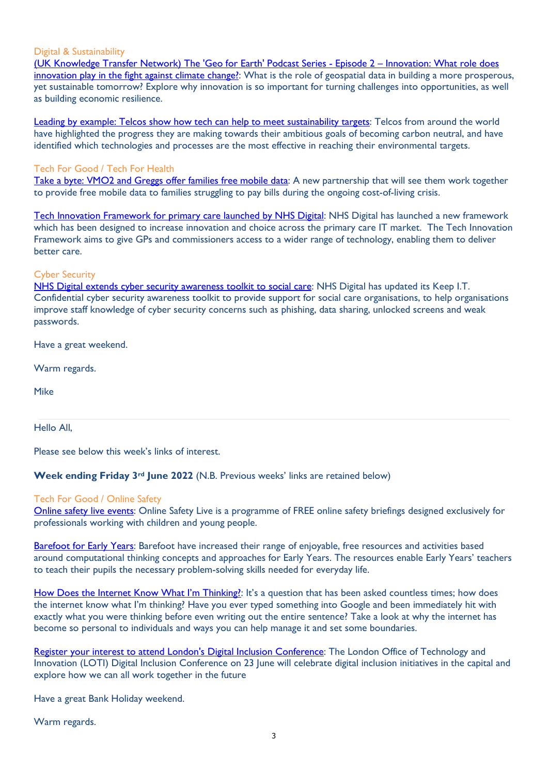#### Digital & Sustainability

(UK Knowledge Transfer Network) The 'Geo for Earth' Podcast Series - Episode 2 – Innovation: What role does innovation play in the fight against climate change?: What is the role of geospatial data in building a more prosperous, yet sustainable tomorrow? Explore why innovation is so important for turning challenges into opportunities, as well as building economic resilience.

Leading by example: Telcos show how tech can help to meet sustainability targets: Telcos from around the world have highlighted the progress they are making towards their ambitious goals of becoming carbon neutral, and have identified which technologies and processes are the most effective in reaching their environmental targets.

#### Tech For Good / Tech For Health

Take a byte: VMO2 and Greggs offer families free mobile data: A new partnership that will see them work together to provide free mobile data to families struggling to pay bills during the ongoing cost-of-living crisis.

Tech Innovation Framework for primary care launched by NHS Digital: NHS Digital has launched a new framework which has been designed to increase innovation and choice across the primary care IT market. The Tech Innovation Framework aims to give GPs and commissioners access to a wider range of technology, enabling them to deliver better care.

#### Cyber Security

NHS Digital extends cyber security awareness toolkit to social care: NHS Digital has updated its Keep I.T. Confidential cyber security awareness toolkit to provide support for social care organisations, to help organisations improve staff knowledge of cyber security concerns such as phishing, data sharing, unlocked screens and weak passwords.

Have a great weekend.

Warm regards.

Mike

Hello All,

Please see below this week's links of interest.

Week ending Friday 3<sup>rd</sup> June 2022 (N.B. Previous weeks' links are retained below)

### Tech For Good / Online Safety

Online safety live events: Online Safety Live is a programme of FREE online safety briefings designed exclusively for professionals working with children and young people.

Barefoot for Early Years: Barefoot have increased their range of enjoyable, free resources and activities based around computational thinking concepts and approaches for Early Years. The resources enable Early Years' teachers to teach their pupils the necessary problem-solving skills needed for everyday life.

How Does the Internet Know What I'm Thinking!: It's a question that has been asked countless times; how does the internet know what I'm thinking? Have you ever typed something into Google and been immediately hit with exactly what you were thinking before even writing out the entire sentence? Take a look at why the internet has become so personal to individuals and ways you can help manage it and set some boundaries.

Register your interest to attend London's Digital Inclusion Conference: The London Office of Technology and Innovation (LOTI) Digital Inclusion Conference on 23 June will celebrate digital inclusion initiatives in the capital and explore how we can all work together in the future

Have a great Bank Holiday weekend.

Warm regards.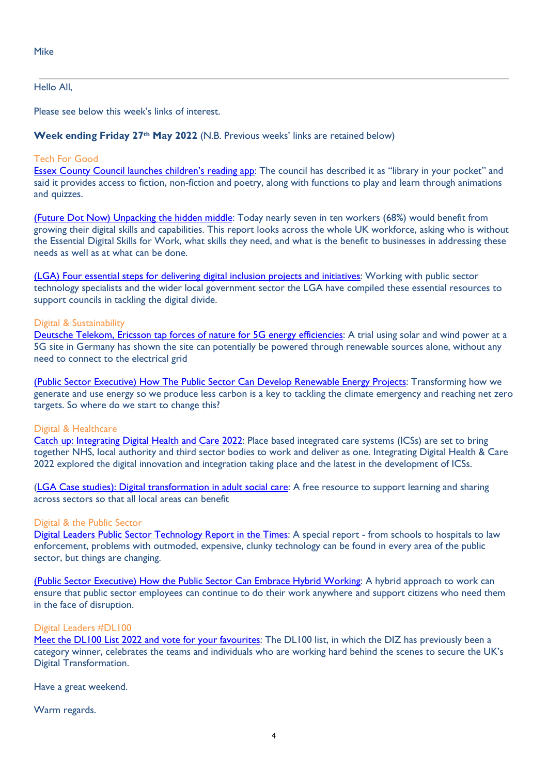### Hello All,

Please see below this week's links of interest.

### Week ending Friday 27<sup>th</sup> May 2022 (N.B. Previous weeks' links are retained below)

## Tech For Good

Essex County Council launches children's reading app: The council has described it as "library in your pocket" and said it provides access to fiction, non-fiction and poetry, along with functions to play and learn through animations and quizzes.

(Future Dot Now) Unpacking the hidden middle: Today nearly seven in ten workers (68%) would benefit from growing their digital skills and capabilities. This report looks across the whole UK workforce, asking who is without the Essential Digital Skills for Work, what skills they need, and what is the benefit to businesses in addressing these needs as well as at what can be done.

(LGA) Four essential steps for delivering digital inclusion projects and initiatives: Working with public sector technology specialists and the wider local government sector the LGA have compiled these essential resources to support councils in tackling the digital divide.

### Digital & Sustainability

Deutsche Telekom, Ericsson tap forces of nature for 5G energy efficiencies: A trial using solar and wind power at a 5G site in Germany has shown the site can potentially be powered through renewable sources alone, without any need to connect to the electrical grid

(Public Sector Executive) How The Public Sector Can Develop Renewable Energy Projects: Transforming how we generate and use energy so we produce less carbon is a key to tackling the climate emergency and reaching net zero targets. So where do we start to change this?

### Digital & Healthcare

Catch up: Integrating Digital Health and Care 2022: Place based integrated care systems (ICSs) are set to bring together NHS, local authority and third sector bodies to work and deliver as one. Integrating Digital Health & Care 2022 explored the digital innovation and integration taking place and the latest in the development of ICSs.

(LGA Case studies): Digital transformation in adult social care: A free resource to support learning and sharing across sectors so that all local areas can benefit

### Digital & the Public Sector

Digital Leaders Public Sector Technology Report in the Times: A special report - from schools to hospitals to law enforcement, problems with outmoded, expensive, clunky technology can be found in every area of the public sector, but things are changing.

(Public Sector Executive) How the Public Sector Can Embrace Hybrid Working: A hybrid approach to work can ensure that public sector employees can continue to do their work anywhere and support citizens who need them in the face of disruption.

## Digital Leaders #DL100

Meet the DL100 List 2022 and vote for your favourites: The DL100 list, in which the DIZ has previously been a category winner, celebrates the teams and individuals who are working hard behind the scenes to secure the UK's Digital Transformation.

Have a great weekend.

Warm regards.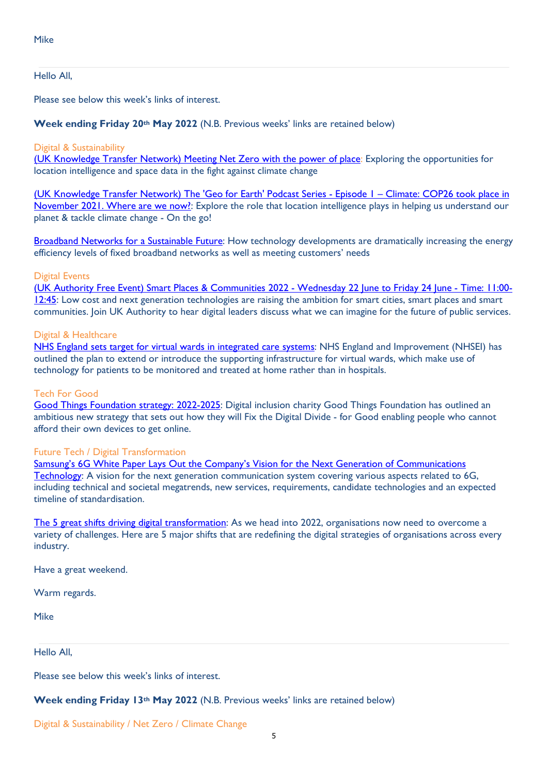#### Hello All,

Please see below this week's links of interest.

#### Week ending Friday 20<sup>th</sup> May 2022 (N.B. Previous weeks' links are retained below)

#### Digital & Sustainability

(UK Knowledge Transfer Network) Meeting Net Zero with the power of place: Exploring the opportunities for location intelligence and space data in the fight against climate change

(UK Knowledge Transfer Network) The 'Geo for Earth' Podcast Series - Episode 1 – Climate: COP26 took place in November 2021. Where are we now?: Explore the role that location intelligence plays in helping us understand our planet & tackle climate change - On the go!

Broadband Networks for a Sustainable Future: How technology developments are dramatically increasing the energy efficiency levels of fixed broadband networks as well as meeting customers' needs

#### Digital Events

(UK Authority Free Event) Smart Places & Communities 2022 - Wednesday 22 June to Friday 24 June - Time: 11:00- 12:45: Low cost and next generation technologies are raising the ambition for smart cities, smart places and smart communities. Join UK Authority to hear digital leaders discuss what we can imagine for the future of public services.

#### Digital & Healthcare

NHS England sets target for virtual wards in integrated care systems: NHS England and Improvement (NHSEI) has outlined the plan to extend or introduce the supporting infrastructure for virtual wards, which make use of technology for patients to be monitored and treated at home rather than in hospitals.

#### Tech For Good

Good Things Foundation strategy: 2022-2025: Digital inclusion charity Good Things Foundation has outlined an ambitious new strategy that sets out how they will Fix the Digital Divide - for Good enabling people who cannot afford their own devices to get online.

### Future Tech / Digital Transformation

Samsung's 6G White Paper Lays Out the Company's Vision for the Next Generation of Communications Technology: A vision for the next generation communication system covering various aspects related to 6G, including technical and societal megatrends, new services, requirements, candidate technologies and an expected timeline of standardisation.

The 5 great shifts driving digital transformation: As we head into 2022, organisations now need to overcome a variety of challenges. Here are 5 major shifts that are redefining the digital strategies of organisations across every industry.

Have a great weekend.

Warm regards.

Mike

Hello All,

Please see below this week's links of interest.

Week ending Friday 13<sup>th</sup> May 2022 (N.B. Previous weeks' links are retained below)

Digital & Sustainability / Net Zero / Climate Change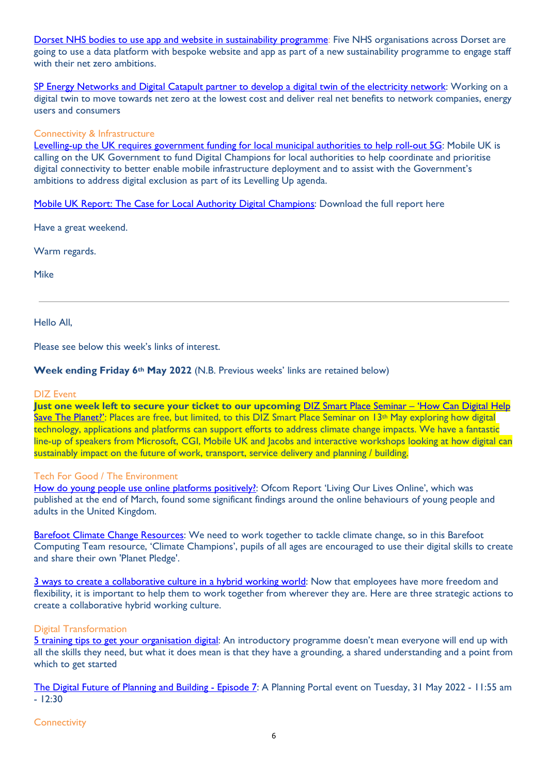Dorset NHS bodies to use app and website in sustainability programme: Five NHS organisations across Dorset are going to use a data platform with bespoke website and app as part of a new sustainability programme to engage staff with their net zero ambitions.

SP Energy Networks and Digital Catapult partner to develop a digital twin of the electricity network: Working on a digital twin to move towards net zero at the lowest cost and deliver real net benefits to network companies, energy users and consumers

### Connectivity & Infrastructure

Levelling-up the UK requires government funding for local municipal authorities to help roll-out 5G: Mobile UK is calling on the UK Government to fund Digital Champions for local authorities to help coordinate and prioritise digital connectivity to better enable mobile infrastructure deployment and to assist with the Government's ambitions to address digital exclusion as part of its Levelling Up agenda.

Mobile UK Report: The Case for Local Authority Digital Champions: Download the full report here

Have a great weekend.

Warm regards.

Mike

Hello All,

Please see below this week's links of interest.

### Week ending Friday 6<sup>th</sup> May 2022 (N.B. Previous weeks' links are retained below)

#### DIZ Event

Just one week left to secure your ticket to our upcoming DIZ Smart Place Seminar – 'How Can Digital Help Save The Planet?': Places are free, but limited, to this DIZ Smart Place Seminar on 13<sup>th</sup> May exploring how digital technology, applications and platforms can support efforts to address climate change impacts. We have a fantastic line-up of speakers from Microsoft, CGI, Mobile UK and Jacobs and interactive workshops looking at how digital can sustainably impact on the future of work, transport, service delivery and planning / building.

### Tech For Good / The Environment

How do young people use online platforms positively?: Ofcom Report 'Living Our Lives Online', which was published at the end of March, found some significant findings around the online behaviours of young people and adults in the United Kingdom.

Barefoot Climate Change Resources: We need to work together to tackle climate change, so in this Barefoot Computing Team resource, 'Climate Champions', pupils of all ages are encouraged to use their digital skills to create and share their own 'Planet Pledge'.

3 ways to create a collaborative culture in a hybrid working world: Now that employees have more freedom and flexibility, it is important to help them to work together from wherever they are. Here are three strategic actions to create a collaborative hybrid working culture.

### Digital Transformation

5 training tips to get your organisation digital: An introductory programme doesn't mean everyone will end up with all the skills they need, but what it does mean is that they have a grounding, a shared understanding and a point from which to get started

The Digital Future of Planning and Building - Episode 7: A Planning Portal event on Tuesday, 31 May 2022 - 11:55 am  $- 12:30$ 

**Connectivity**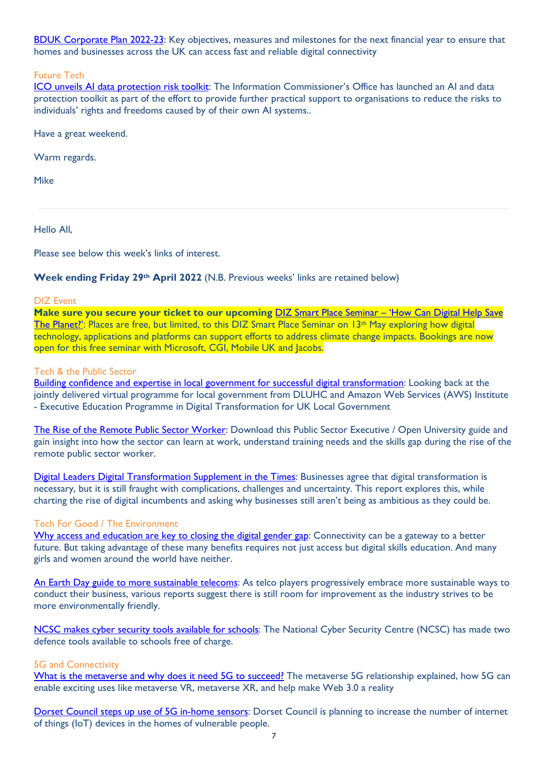BDUK Corporate Plan 2022-23: Key objectives, measures and milestones for the next financial year to ensure that homes and businesses across the UK can access fast and reliable digital connectivity

### Future Tech

ICO unveils AI data protection risk toolkit: The Information Commissioner's Office has launched an AI and data protection toolkit as part of the effort to provide further practical support to organisations to reduce the risks to individuals' rights and freedoms caused by of their own AI systems..

Have a great weekend.

Warm regards.

Mike

Hello All,

Please see below this week's links of interest.

## Week ending Friday 29<sup>th</sup> April 2022 (N.B. Previous weeks' links are retained below)

### DIZ Event

Make sure you secure your ticket to our upcoming DIZ Smart Place Seminar - 'How Can Digital Help Save The Planet?': Places are free, but limited, to this DIZ Smart Place Seminar on 13<sup>th</sup> May exploring how digital technology, applications and platforms can support efforts to address climate change impacts. Bookings are now open for this free seminar with Microsoft, CGI, Mobile UK and Jacobs.

### Tech & the Public Sector

Building confidence and expertise in local government for successful digital transformation: Looking back at the jointly delivered virtual programme for local government from DLUHC and Amazon Web Services (AWS) Institute - Executive Education Programme in Digital Transformation for UK Local Government

The Rise of the Remote Public Sector Worker: Download this Public Sector Executive / Open University guide and gain insight into how the sector can learn at work, understand training needs and the skills gap during the rise of the remote public sector worker.

Digital Leaders Digital Transformation Supplement in the Times: Businesses agree that digital transformation is necessary, but it is still fraught with complications, challenges and uncertainty. This report explores this, while charting the rise of digital incumbents and asking why businesses still aren't being as ambitious as they could be.

## Tech For Good / The Environment

Why access and education are key to closing the digital gender gap: Connectivity can be a gateway to a better future. But taking advantage of these many benefits requires not just access but digital skills education. And many girls and women around the world have neither.

An Earth Day guide to more sustainable telecoms: As telco players progressively embrace more sustainable ways to conduct their business, various reports suggest there is still room for improvement as the industry strives to be more environmentally friendly.

NCSC makes cyber security tools available for schools: The National Cyber Security Centre (NCSC) has made two defence tools available to schools free of charge.

## 5G and Connectivity

What is the metaverse and why does it need 5G to succeed? The metaverse 5G relationship explained, how 5G can enable exciting uses like metaverse VR, metaverse XR, and help make Web 3.0 a reality

Dorset Council steps up use of 5G in-home sensors: Dorset Council is planning to increase the number of internet of things (IoT) devices in the homes of vulnerable people.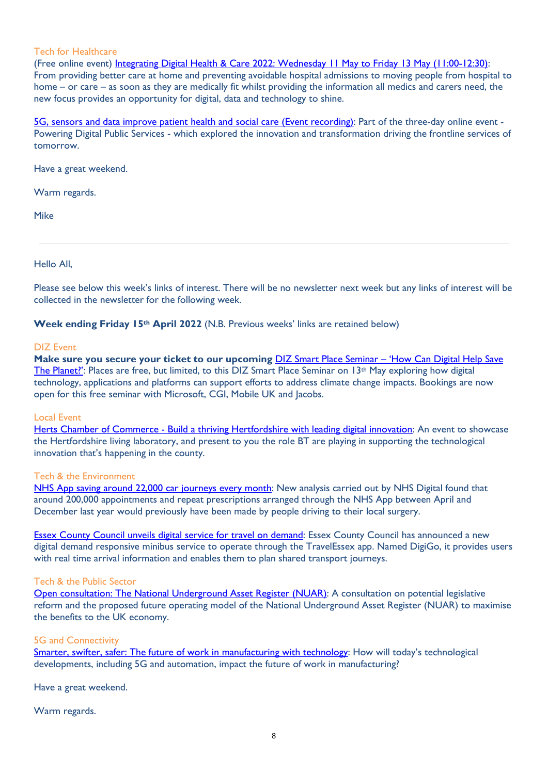### Tech for Healthcare

(Free online event) Integrating Digital Health & Care 2022: Wednesday 11 May to Friday 13 May (11:00-12:30): From providing better care at home and preventing avoidable hospital admissions to moving people from hospital to home – or care – as soon as they are medically fit whilst providing the information all medics and carers need, the new focus provides an opportunity for digital, data and technology to shine.

5G, sensors and data improve patient health and social care (Event recording): Part of the three-day online event -Powering Digital Public Services - which explored the innovation and transformation driving the frontline services of tomorrow.

Have a great weekend.

Warm regards.

Mike

Hello All,

Please see below this week's links of interest. There will be no newsletter next week but any links of interest will be collected in the newsletter for the following week.

Week ending Friday 15<sup>th</sup> April 2022 (N.B. Previous weeks' links are retained below)

#### DIZ Event

Make sure you secure your ticket to our upcoming **DIZ Smart Place Seminar – 'How Can Digital Help Save** The Planet?': Places are free, but limited, to this DIZ Smart Place Seminar on 13<sup>th</sup> May exploring how digital technology, applications and platforms can support efforts to address climate change impacts. Bookings are now open for this free seminar with Microsoft, CGI, Mobile UK and Jacobs.

### Local Event

Herts Chamber of Commerce - Build a thriving Hertfordshire with leading digital innovation: An event to showcase the Hertfordshire living laboratory, and present to you the role BT are playing in supporting the technological innovation that's happening in the county.

### Tech & the Environment

NHS App saving around 22,000 car journeys every month: New analysis carried out by NHS Digital found that around 200,000 appointments and repeat prescriptions arranged through the NHS App between April and December last year would previously have been made by people driving to their local surgery.

Essex County Council unveils digital service for travel on demand: Essex County Council has announced a new digital demand responsive minibus service to operate through the TravelEssex app. Named DigiGo, it provides users with real time arrival information and enables them to plan shared transport journeys.

## Tech & the Public Sector

Open consultation: The National Underground Asset Register (NUAR): A consultation on potential legislative reform and the proposed future operating model of the National Underground Asset Register (NUAR) to maximise the benefits to the UK economy.

### 5G and Connectivity

Smarter, swifter, safer: The future of work in manufacturing with technology: How will today's technological developments, including 5G and automation, impact the future of work in manufacturing?

Have a great weekend.

Warm regards.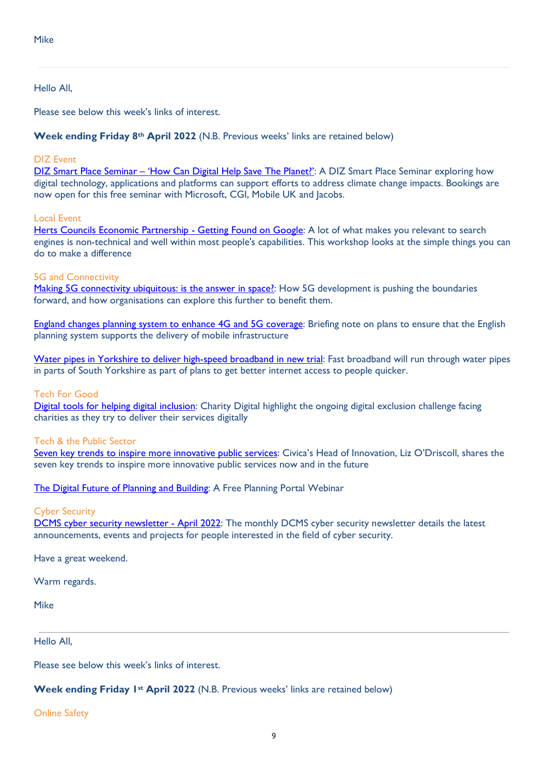### Hello All,

Please see below this week's links of interest.

Week ending Friday 8th April 2022 (N.B. Previous weeks' links are retained below)

### DIZ Event

DIZ Smart Place Seminar – 'How Can Digital Help Save The Planet?': A DIZ Smart Place Seminar exploring how digital technology, applications and platforms can support efforts to address climate change impacts. Bookings are now open for this free seminar with Microsoft, CGI, Mobile UK and Jacobs.

### Local Event

Herts Councils Economic Partnership - Getting Found on Google: A lot of what makes you relevant to search engines is non-technical and well within most people's capabilities. This workshop looks at the simple things you can do to make a difference

### 5G and Connectivity

Making 5G connectivity ubiquitous: is the answer in space?: How 5G development is pushing the boundaries forward, and how organisations can explore this further to benefit them.

England changes planning system to enhance 4G and 5G coverage: Briefing note on plans to ensure that the English planning system supports the delivery of mobile infrastructure

Water pipes in Yorkshire to deliver high-speed broadband in new trial: Fast broadband will run through water pipes in parts of South Yorkshire as part of plans to get better internet access to people quicker.

### Tech For Good

Digital tools for helping digital inclusion: Charity Digital highlight the ongoing digital exclusion challenge facing charities as they try to deliver their services digitally

### Tech & the Public Sector

Seven key trends to inspire more innovative public services: Civica's Head of Innovation, Liz O'Driscoll, shares the seven key trends to inspire more innovative public services now and in the future

The Digital Future of Planning and Building: A Free Planning Portal Webinar

### Cyber Security

DCMS cyber security newsletter - April 2022: The monthly DCMS cyber security newsletter details the latest announcements, events and projects for people interested in the field of cyber security.

Have a great weekend.

Warm regards.

Mike

Hello All,

Please see below this week's links of interest.

### Week ending Friday 1<sup>st</sup> April 2022 (N.B. Previous weeks' links are retained below)

Online Safety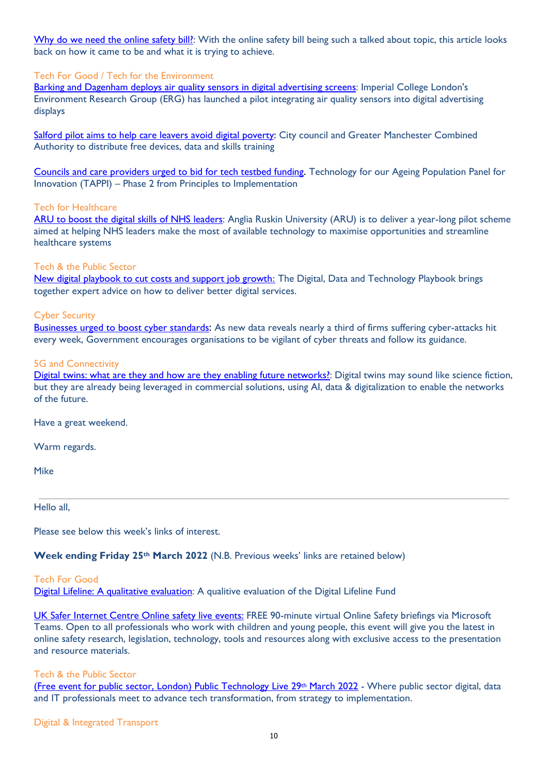Why do we need the online safety bill?: With the online safety bill being such a talked about topic, this article looks back on how it came to be and what it is trying to achieve.

### Tech For Good / Tech for the Environment

Barking and Dagenham deploys air quality sensors in digital advertising screens: Imperial College London's Environment Research Group (ERG) has launched a pilot integrating air quality sensors into digital advertising displays

Salford pilot aims to help care leavers avoid digital poverty: City council and Greater Manchester Combined Authority to distribute free devices, data and skills training

Councils and care providers urged to bid for tech testbed funding. Technology for our Ageing Population Panel for Innovation (TAPPI) – Phase 2 from Principles to Implementation

### Tech for Healthcare

ARU to boost the digital skills of NHS leaders: Anglia Ruskin University (ARU) is to deliver a year-long pilot scheme aimed at helping NHS leaders make the most of available technology to maximise opportunities and streamline healthcare systems

### Tech & the Public Sector

New digital playbook to cut costs and support job growth: The Digital, Data and Technology Playbook brings together expert advice on how to deliver better digital services.

### Cyber Security

Businesses urged to boost cyber standards: As new data reveals nearly a third of firms suffering cyber-attacks hit every week, Government encourages organisations to be vigilant of cyber threats and follow its guidance.

### 5G and Connectivity

Digital twins: what are they and how are they enabling future networks?: Digital twins may sound like science fiction, but they are already being leveraged in commercial solutions, using AI, data & digitalization to enable the networks of the future.

Have a great weekend.

Warm regards.

Mike

Hello all,

Please see below this week's links of interest.

### Week ending Friday 25<sup>th</sup> March 2022 (N.B. Previous weeks' links are retained below)

### Tech For Good

Digital Lifeline: A qualitative evaluation: A qualitive evaluation of the Digital Lifeline Fund

UK Safer Internet Centre Online safety live events: FREE 90-minute virtual Online Safety briefings via Microsoft Teams. Open to all professionals who work with children and young people, this event will give you the latest in online safety research, legislation, technology, tools and resources along with exclusive access to the presentation and resource materials.

### Tech & the Public Sector

(Free event for public sector, London) Public Technology Live 29th March 2022 - Where public sector digital, data and IT professionals meet to advance tech transformation, from strategy to implementation.

Digital & Integrated Transport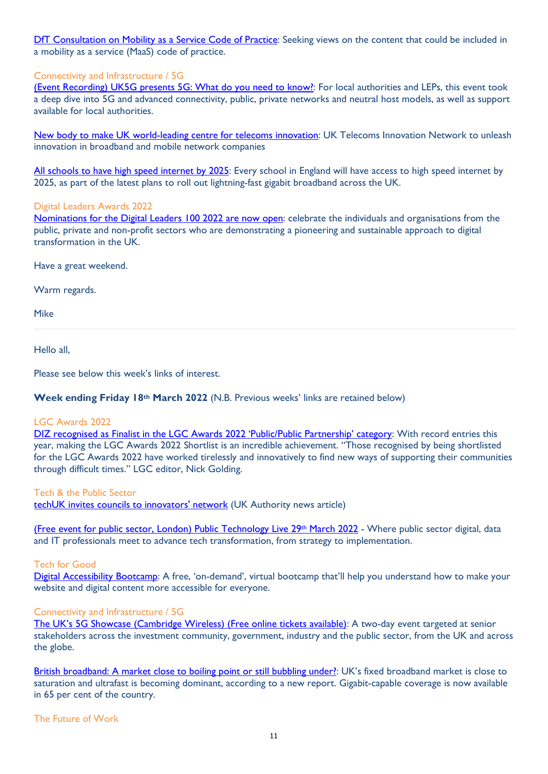DfT Consultation on Mobility as a Service Code of Practice: Seeking views on the content that could be included in a mobility as a service (MaaS) code of practice.

### Connectivity and Infrastructure / 5G

(Event Recording) UK5G presents 5G: What do you need to know?: For local authorities and LEPs, this event took a deep dive into 5G and advanced connectivity, public, private networks and neutral host models, as well as support available for local authorities.

New body to make UK world-leading centre for telecoms innovation: UK Telecoms Innovation Network to unleash innovation in broadband and mobile network companies

All schools to have high speed internet by 2025: Every school in England will have access to high speed internet by 2025, as part of the latest plans to roll out lightning-fast gigabit broadband across the UK.

### Digital Leaders Awards 2022

Nominations for the Digital Leaders 100 2022 are now open: celebrate the individuals and organisations from the public, private and non-profit sectors who are demonstrating a pioneering and sustainable approach to digital transformation in the UK.

Have a great weekend.

Warm regards.

Mike

Hello all,

Please see below this week's links of interest.

### Week ending Friday 18<sup>th</sup> March 2022 (N.B. Previous weeks' links are retained below)

### LGC Awards 2022

DIZ recognised as Finalist in the LGC Awards 2022 'Public/Public Partnership' category: With record entries this year, making the LGC Awards 2022 Shortlist is an incredible achievement. "Those recognised by being shortlisted for the LGC Awards 2022 have worked tirelessly and innovatively to find new ways of supporting their communities through difficult times." LGC editor, Nick Golding.

Tech & the Public Sector

techUK invites councils to innovators' network (UK Authority news article)

(Free event for public sector, London) Public Technology Live 29th March 2022 - Where public sector digital, data and IT professionals meet to advance tech transformation, from strategy to implementation.

### Tech for Good

Digital Accessibility Bootcamp: A free, 'on-demand', virtual bootcamp that'll help you understand how to make your website and digital content more accessible for everyone.

### Connectivity and Infrastructure / 5G

The UK's 5G Showcase (Cambridge Wireless) (Free online tickets available): A two-day event targeted at senior stakeholders across the investment community, government, industry and the public sector, from the UK and across the globe.

British broadband: A market close to boiling point or still bubbling under?: UK's fixed broadband market is close to saturation and ultrafast is becoming dominant, according to a new report. Gigabit-capable coverage is now available in 65 per cent of the country.

The Future of Work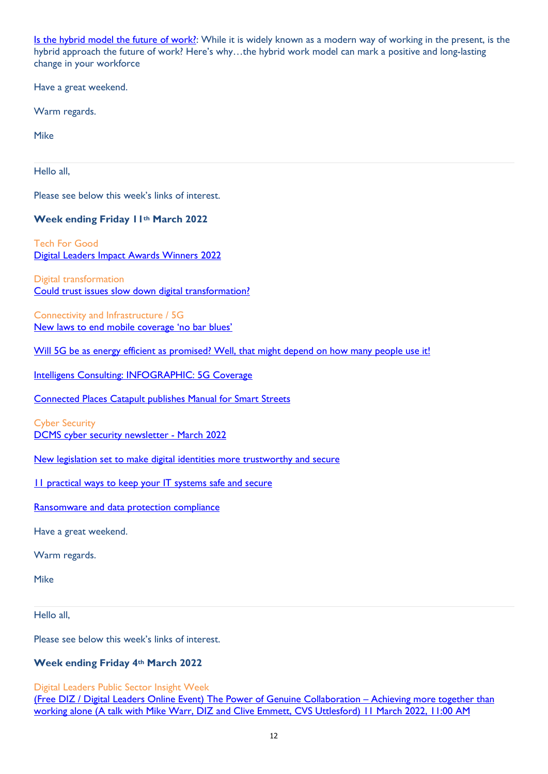Is the hybrid model the future of work?: While it is widely known as a modern way of working in the present, is the hybrid approach the future of work? Here's why…the hybrid work model can mark a positive and long-lasting change in your workforce

Have a great weekend.

Warm regards.

Mike

Hello all,

Please see below this week's links of interest.

## Week ending Friday 11th March 2022

Tech For Good Digital Leaders Impact Awards Winners 2022

Digital transformation Could trust issues slow down digital transformation?

Connectivity and Infrastructure / 5G New laws to end mobile coverage 'no bar blues'

Will 5G be as energy efficient as promised? Well, that might depend on how many people use it!

Intelligens Consulting: INFOGRAPHIC: 5G Coverage

Connected Places Catapult publishes Manual for Smart Streets

Cyber Security DCMS cyber security newsletter - March 2022

New legislation set to make digital identities more trustworthy and secure

11 practical ways to keep your IT systems safe and secure

Ransomware and data protection compliance

Have a great weekend.

Warm regards.

Mike

Hello all,

Please see below this week's links of interest.

## Week ending Friday 4th March 2022

Digital Leaders Public Sector Insight Week

(Free DIZ / Digital Leaders Online Event) The Power of Genuine Collaboration – Achieving more together than working alone (A talk with Mike Warr, DIZ and Clive Emmett, CVS Uttlesford) 11 March 2022, 11:00 AM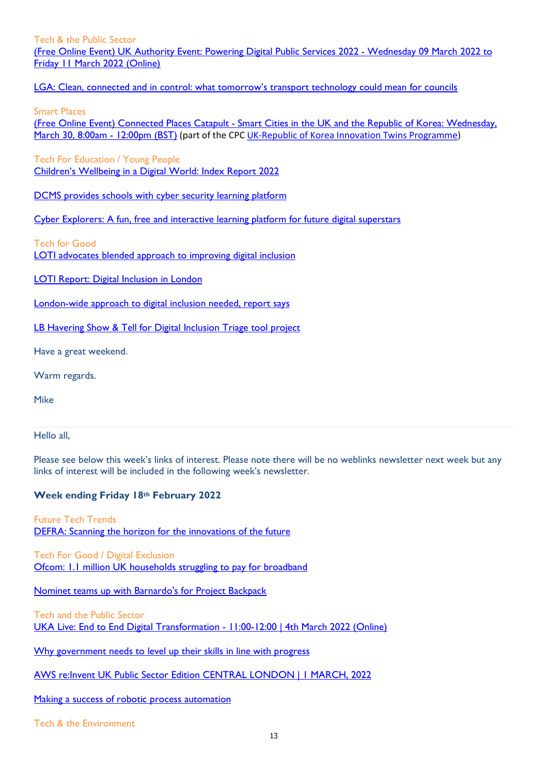Tech & the Public Sector (Free Online Event) UK Authority Event: Powering Digital Public Services 2022 - Wednesday 09 March 2022 to Friday 11 March 2022 (Online)

LGA: Clean, connected and in control: what tomorrow's transport technology could mean for councils

Smart Places

(Free Online Event) Connected Places Catapult - Smart Cities in the UK and the Republic of Korea: Wednesday, March 30, 8:00am - 12:00pm (BST) (part of the CPC UK-Republic of Korea Innovation Twins Programme)

Tech For Education / Young People Children's Wellbeing in a Digital World: Index Report 2022

DCMS provides schools with cyber security learning platform

Cyber Explorers: A fun, free and interactive learning platform for future digital superstars

Tech for Good

LOTI advocates blended approach to improving digital inclusion

LOTI Report: Digital Inclusion in London

London-wide approach to digital inclusion needed, report says

LB Havering Show & Tell for Digital Inclusion Triage tool project

Have a great weekend.

Warm regards.

Mike

Hello all,

Please see below this week's links of interest. Please note there will be no weblinks newsletter next week but any links of interest will be included in the following week's newsletter.

## Week ending Friday 18th February 2022

Future Tech Trends DEFRA: Scanning the horizon for the innovations of the future

Tech For Good / Digital Exclusion Ofcom: 1.1 million UK households struggling to pay for broadband

Nominet teams up with Barnardo's for Project Backpack

Tech and the Public Sector UKA Live: End to End Digital Transformation - 11:00-12:00 | 4th March 2022 (Online)

Why government needs to level up their skills in line with progress

AWS re:Invent UK Public Sector Edition CENTRAL LONDON | 1 MARCH, 2022

Making a success of robotic process automation

Tech & the Environment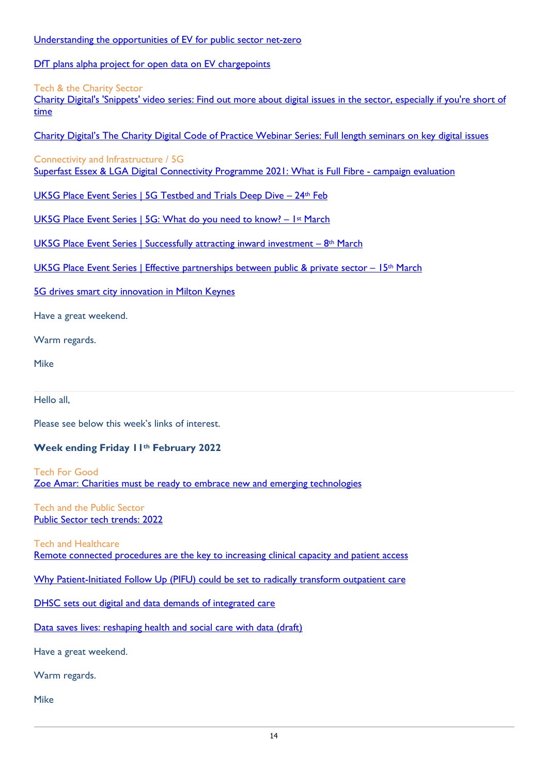### Understanding the opportunities of EV for public sector net-zero

DfT plans alpha project for open data on EV chargepoints

### Tech & the Charity Sector

Charity Digital's 'Snippets' video series: Find out more about digital issues in the sector, especially if you're short of time

Charity Digital's The Charity Digital Code of Practice Webinar Series: Full length seminars on key digital issues

## Connectivity and Infrastructure / 5G

Superfast Essex & LGA Digital Connectivity Programme 2021: What is Full Fibre - campaign evaluation

UK5G Place Event Series | 5G Testbed and Trials Deep Dive - 24th Feb

UK5G Place Event Series | 5G: What do you need to know? – 1st March

UK5G Place Event Series | Successfully attracting inward investment – 8<sup>th</sup> March

UK5G Place Event Series | Effective partnerships between public & private sector – 15<sup>th</sup> March

5G drives smart city innovation in Milton Keynes

Have a great weekend.

Warm regards.

Mike

Hello all,

Please see below this week's links of interest.

# Week ending Friday 11th February 2022

Tech For Good Zoe Amar: Charities must be ready to embrace new and emerging technologies

Tech and the Public Sector Public Sector tech trends: 2022

Tech and Healthcare Remote connected procedures are the key to increasing clinical capacity and patient access

Why Patient-Initiated Follow Up (PIFU) could be set to radically transform outpatient care

DHSC sets out digital and data demands of integrated care

Data saves lives: reshaping health and social care with data (draft)

Have a great weekend.

Warm regards.

Mike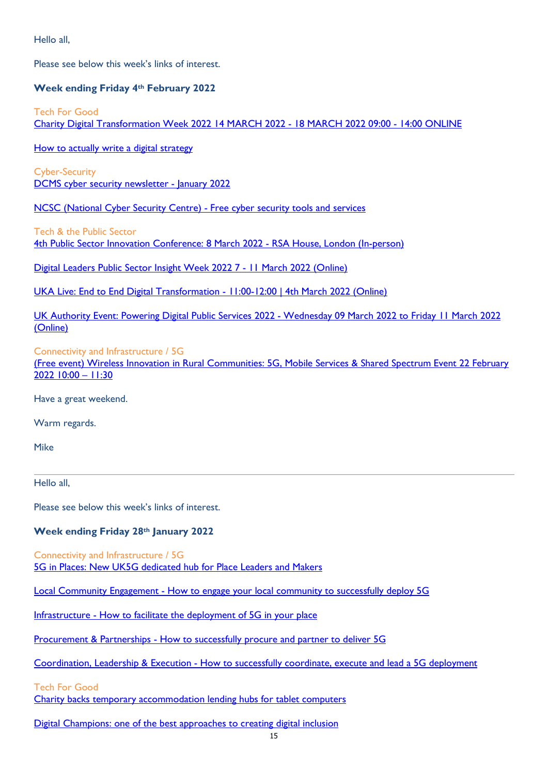Hello all,

Please see below this week's links of interest.

## Week ending Friday 4th February 2022

Tech For Good Charity Digital Transformation Week 2022 14 MARCH 2022 - 18 MARCH 2022 09:00 - 14:00 ONLINE

How to actually write a digital strategy

Cyber-Security DCMS cyber security newsletter - January 2022

NCSC (National Cyber Security Centre) - Free cyber security tools and services

Tech & the Public Sector

4th Public Sector Innovation Conference: 8 March 2022 - RSA House, London (In-person)

Digital Leaders Public Sector Insight Week 2022 7 - 11 March 2022 (Online)

UKA Live: End to End Digital Transformation - 11:00-12:00 | 4th March 2022 (Online)

UK Authority Event: Powering Digital Public Services 2022 - Wednesday 09 March 2022 to Friday 11 March 2022 (Online)

### Connectivity and Infrastructure / 5G

(Free event) Wireless Innovation in Rural Communities: 5G, Mobile Services & Shared Spectrum Event 22 February 2022 10:00 – 11:30

Have a great weekend.

Warm regards.

Mike

Hello all,

Please see below this week's links of interest.

## Week ending Friday 28th January 2022

Connectivity and Infrastructure / 5G 5G in Places: New UK5G dedicated hub for Place Leaders and Makers

Local Community Engagement - How to engage your local community to successfully deploy 5G

Infrastructure - How to facilitate the deployment of 5G in your place

Procurement & Partnerships - How to successfully procure and partner to deliver 5G

Coordination, Leadership & Execution - How to successfully coordinate, execute and lead a 5G deployment

Tech For Good

Charity backs temporary accommodation lending hubs for tablet computers

Digital Champions: one of the best approaches to creating digital inclusion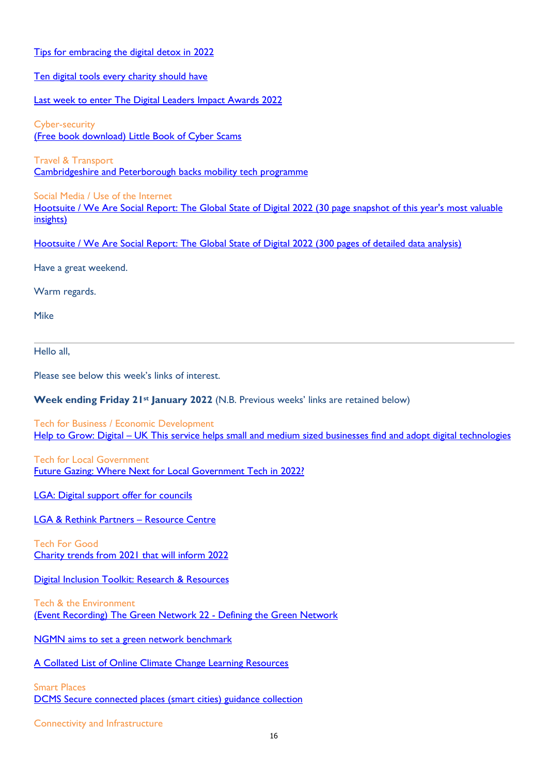Tips for embracing the digital detox in 2022 Ten digital tools every charity should have Last week to enter The Digital Leaders Impact Awards 2022 Cyber-security (Free book download) Little Book of Cyber Scams Travel & Transport Cambridgeshire and Peterborough backs mobility tech programme Social Media / Use of the Internet Hootsuite / We Are Social Report: The Global State of Digital 2022 (30 page snapshot of this year's most valuable insights) Hootsuite / We Are Social Report: The Global State of Digital 2022 (300 pages of detailed data analysis) Have a great weekend. Warm regards. Mike Hello all,

Please see below this week's links of interest.

## Week ending Friday 21<sup>st</sup> January 2022 (N.B. Previous weeks' links are retained below)

Tech for Business / Economic Development Help to Grow: Digital – UK This service helps small and medium sized businesses find and adopt digital technologies

Tech for Local Government Future Gazing: Where Next for Local Government Tech in 2022?

LGA: Digital support offer for councils

LGA & Rethink Partners – Resource Centre

Tech For Good Charity trends from 2021 that will inform 2022

Digital Inclusion Toolkit: Research & Resources

Tech & the Environment (Event Recording) The Green Network 22 - Defining the Green Network

NGMN aims to set a green network benchmark

A Collated List of Online Climate Change Learning Resources

Smart Places DCMS Secure connected places (smart cities) guidance collection

Connectivity and Infrastructure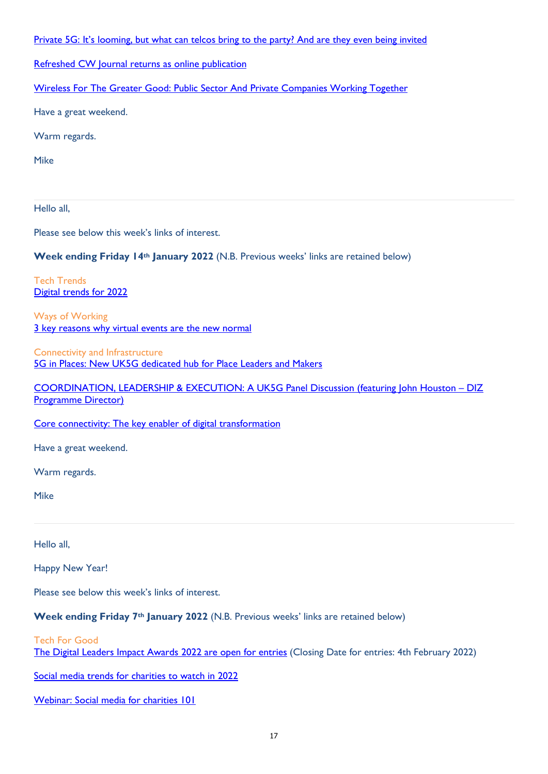Private 5G: It's looming, but what can telcos bring to the party? And are they even being invited

Refreshed CW Journal returns as online publication

Wireless For The Greater Good: Public Sector And Private Companies Working Together

Have a great weekend.

Warm regards.

Mike

Hello all,

Please see below this week's links of interest.

Week ending Friday 14<sup>th</sup> January 2022 (N.B. Previous weeks' links are retained below)

Tech Trends Digital trends for 2022

Ways of Working 3 key reasons why virtual events are the new normal

Connectivity and Infrastructure 5G in Places: New UK5G dedicated hub for Place Leaders and Makers

COORDINATION, LEADERSHIP & EXECUTION: A UK5G Panel Discussion (featuring John Houston – DIZ Programme Director)

Core connectivity: The key enabler of digital transformation

Have a great weekend.

Warm regards.

Mike

Hello all,

Happy New Year!

Please see below this week's links of interest.

Week ending Friday 7<sup>th</sup> January 2022 (N.B. Previous weeks' links are retained below)

Tech For Good

The Digital Leaders Impact Awards 2022 are open for entries (Closing Date for entries: 4th February 2022)

Social media trends for charities to watch in 2022

Webinar: Social media for charities 101